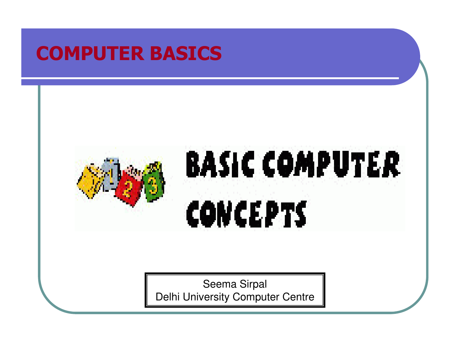### COMPUTER BASICS

# **BASIC COMPUTER** CONCEPTS

Seema SirpalDelhi University Computer Centre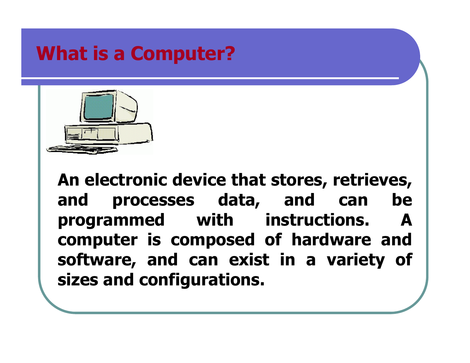# What is a Computer?



An electronic device that stores, retrieves, and processes data, and can be programmed with instructions. A computer is composed of hardware and software, and can exist in a variety of sizes and configurations.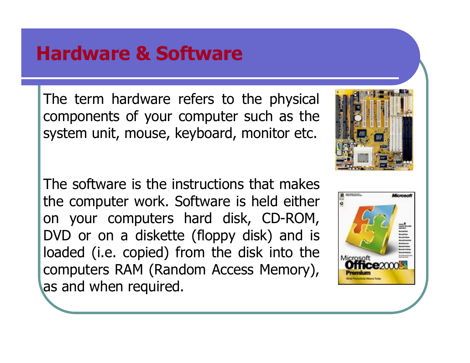### Hardware & Software

The term hardware refers to the physical components of your computer such as the system unit, mouse, keyboard, monitor etc.

The software is the instructions that makes the computer work. Software is held either on your computers hard disk, CD-ROM, DVD or on a diskette (floppy disk) and is loaded (i.e. copied) from the disk into the computers RAM (Random Access Memory), as and when required.



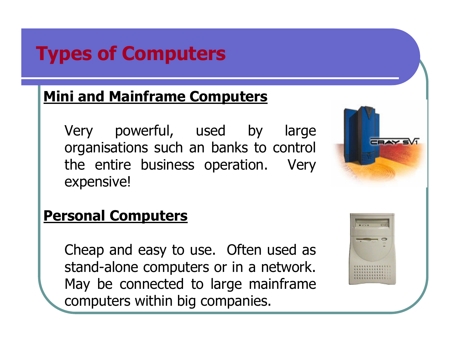# Types of Computers

#### Mini and Mainframe Computers

Very powerful, used by large organisations such an banks to control the entire business operation. Very expensive!



#### Personal Computers

Cheap and easy to use. Often used as stand-alone computers or in a network. May be connected to large mainframe computers within big companies.

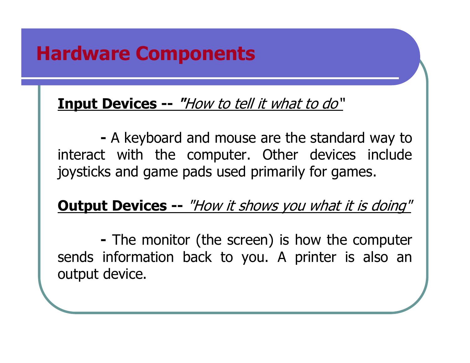#### <u> Input Devices -- *"How to tell it what to do*"</u>

- A keyboard and mouse are the standard way to interact with the computer. Other devices include joysticks and game pads used primarily for games.

<u> Output Devices -- *"How it shows you what it is doing"*</u>

- The monitor (the screen) is how the computer sends information back to you. A printer is also anoutput device.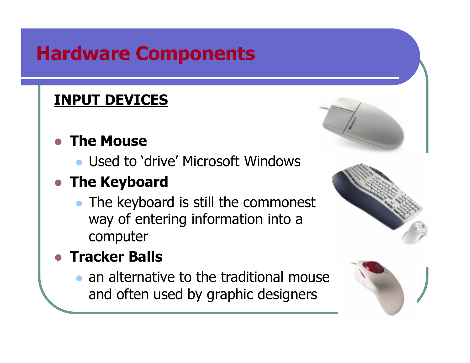#### INPUT DEVICES

#### $\bullet$ The Mouse

• Used to 'drive' Microsoft Windows<br>Fhe Korkeard

# **• The Keyboard**

• The keyboard is still the commonest way of entering information into a computer

#### $\bullet$ Tracker Balls

 $\bullet$  an alternative to the traditional mouse and often used by graphic designers





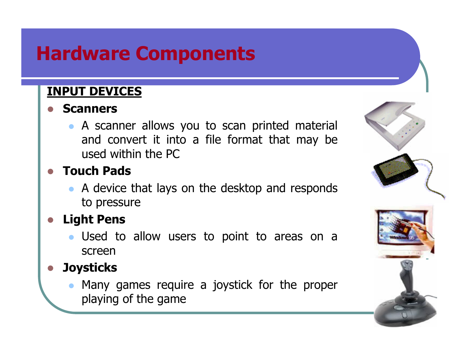#### INPUT DEVICES

#### $\bullet$ Scanners

 A scanner allows you to scan printed material and convert it into a file format that may be used within the PC

#### $\bullet$ Touch Pads

• A device that lays on the desktop and responds to pressure

#### Light Pens

 Used to allow users to point to areas on a screen

#### **Joysticks**

 $\bullet$  Many games require a joystick for the proper playing of the game

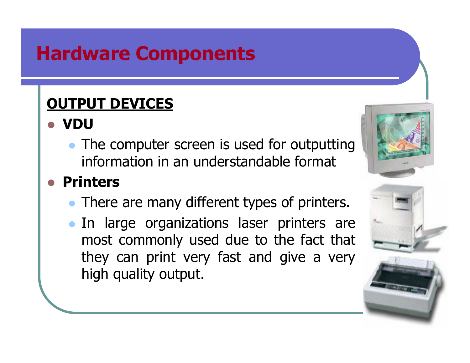#### OUTPUT DEVICES

- VDU
	- The computer screen is used for outputting information in an understandable format

#### $\bullet$ Printers

- There are many different types of printers.
- In large organizations laser printers are most commonly used due to the fact that they can print very fast and give a very high quality output.



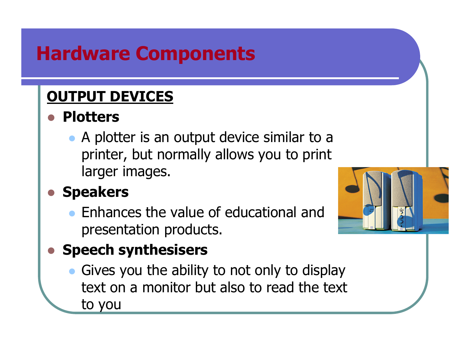#### OUTPUT DEVICES

#### $\bigcirc$ **Plotters**

• A plotter is an output device similar to a printer, but normally allows you to print larger images.

#### $\bigcirc$ Speakers

 $\bullet$  Enhances the value of educational and presentation products.



#### $\bigcirc$ Speech synthesisers

 $\bullet$  Gives you the ability to not only to display text on a monitor but also to read the text to you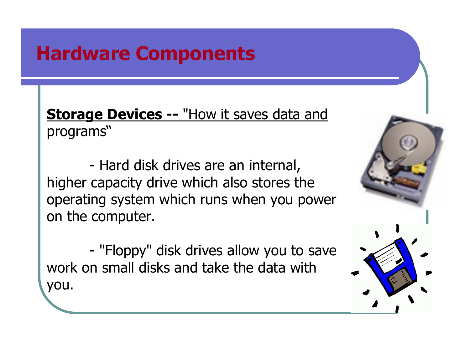**<u>Storage Devices -- "How it saves data and</u>** programs"

-Hard disk drives are an internal,<br>Sanacity drive which also stores th higher capacity drive which also stores the operating system which runs when you power on the computer.

-"Floppy" disk drives allow you to save<br>Samall disks and take the data with work on small disks and take the data with you.

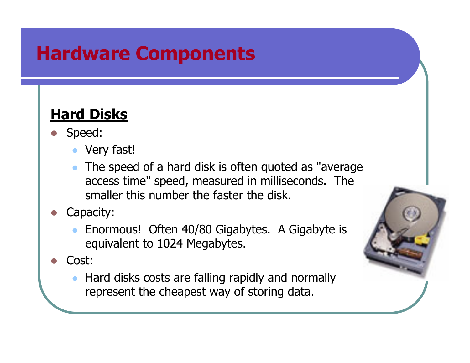#### Hard Disks

- Speed:
	- $\bullet$ Very fast!
	- $\bullet$  The speed of a hard disk is often quoted as "average access time" speed, measured in milliseconds. The smaller this number the faster the disk.
- Capacity:
	- $\bullet$  Enormous! Often 40/80 Gigabytes. A Gigabyte is equivalent to 1024 Megabytes.
- Cost:
	- $\bullet$  Hard disks costs are falling rapidly and normally represent the cheapest way of storing data.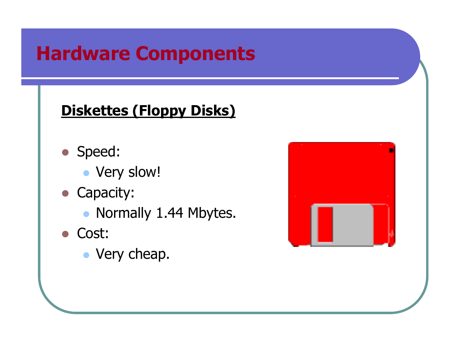#### Diskettes (Floppy Disks)

- Speed:
	- Very slow!
- Capacity:
	- Normally 1.44 Mbytes.
- Cost:
	- Very cheap.

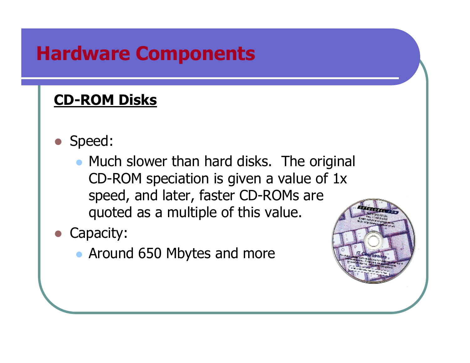#### CD-ROM Disks

- Speed:
	- Much slower than hard disks. The original CD-ROM speciation is given a value of 1x speed, and later, faster CD-ROMs are quoted as a multiple of this value.
- Capacity:
	- Around 650 Mbytes and more

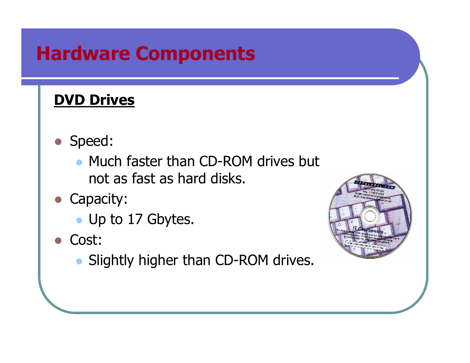#### **DVD Drives**

- Speed:
	- Much faster than CD-ROM drives but not as fast as hard disks.
- Capacity:
	- Up to 17 Gbytes.
- Cost:
	- Slightly higher than CD-ROM drives.

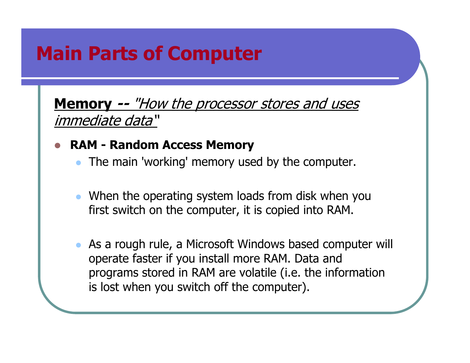# Main Parts of Computer

**Memory --** "How the processor stores and uses immediate data"

#### $\bullet$ RAM - Random Access Memory

- $\bullet$ The main 'working' memory used by the computer.
- $\bullet$  When the operating system loads from disk when you first switch on the computer, it is copied into RAM.
- $\bullet$  As a rough rule, a Microsoft Windows based computer will operate faster if you install more RAM. Data and programs stored in RAM are volatile (i.e. the information is lost when you switch off the computer).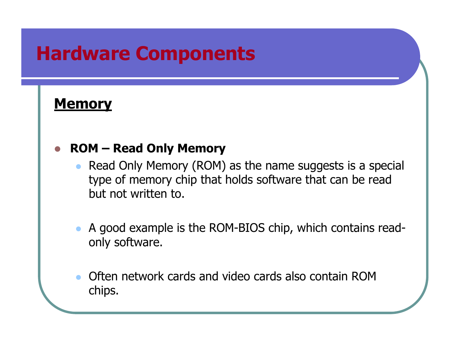#### **Memory**

#### $\bullet$ ROM – Read Only Memory

- $\bullet$  Read Only Memory (ROM) as the name suggests is a special type of memory chip that holds software that can be read but not written to.
- $\bullet$  A good example is the ROM-BIOS chip, which contains readonly software.
- $\bullet$  Often network cards and video cards also contain ROM chips.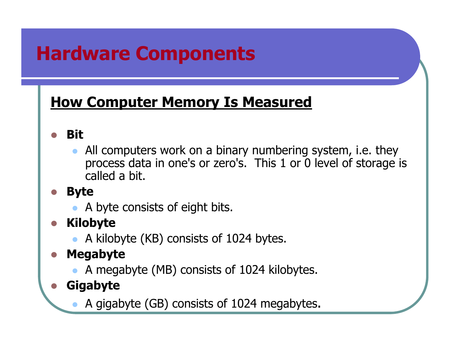#### **How Computer Memory Is Measured**

- Bit
	- $\bullet$  All computers work on a binary numbering system, i.e. they process data in one's or zero's. This 1 or 0 level of storage is called a bit.
- Byte
	- $\bullet$ A byte consists of eight bits.
- Kilobyte
	- A kilobyte (KB) consists of 1024 bytes.
- $\bullet$  Megabyte
	- $\bullet$ A megabyte (MB) consists of 1024 kilobytes.
- Gigabyte
	- $\bullet$ A gigabyte (GB) consists of 1024 megabytes.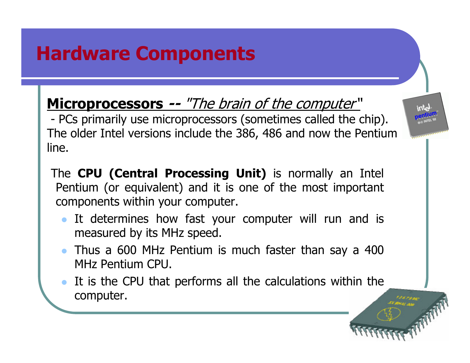Microprocessors -- "The brain of the computer"

- PCs primarily use microprocessors (sometimes called the chip).<br>The older Intel versions include the 386–486 and now the Pentiun The older Intel versions include the 386, 486 and now the Pentium line.

- The CPU (Central Processing Unit) is normally an Intel Pentium (or equivalent) and it is one of the most important components within your computer.
	- $\bullet$  It determines how fast your computer will run and is measured by its MHz speed.
	- Thus a 600 MHz Pentium is much faster than say a 400 MHz Pentium CPU.
	- $\bullet$  It is the CPU that performs all the calculations within the computer.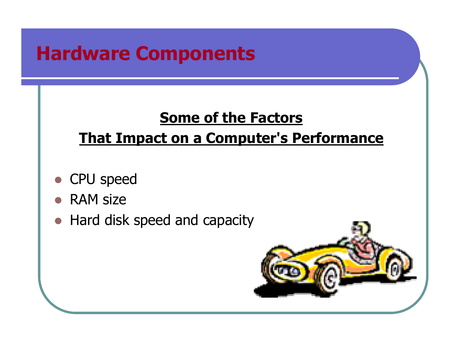#### Some of the Factors

#### **That Impact on a Computer's Performance**

- $\bigcirc$ CPU speed
- RAM size
- $\bullet$ Hard disk speed and capacity

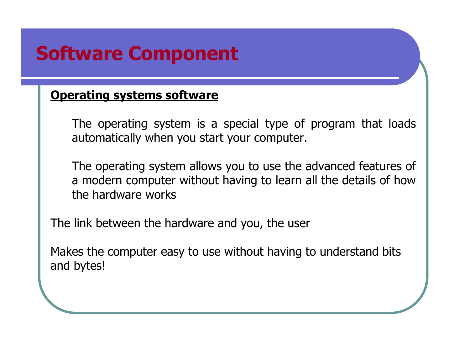#### Operating systems software

The operating system is a special type of program that loads automatically when you start your computer.

The operating system allows you to use the advanced features of a modern computer without having to learn all the details of howthe hardware works

The link between the hardware and you, the user

Makes the computer easy to use without having to understand bitsand bytes!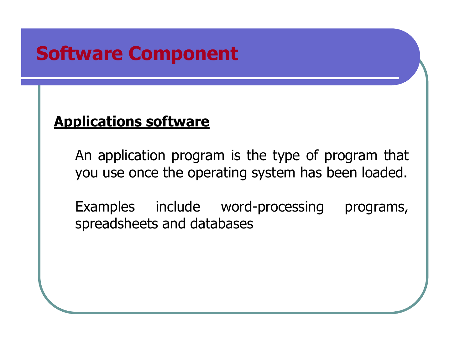#### Applications software

An application program is the type of program that you use once the operating system has been loaded.

Examples include word-processing programs, spreadsheets and databases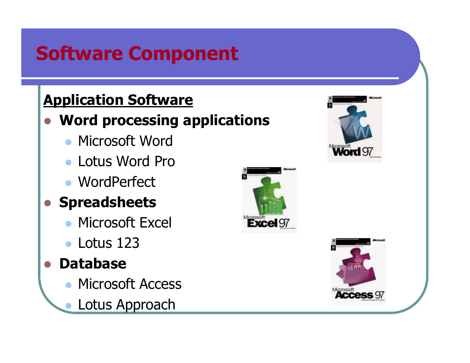#### Application Software

#### • Word processing applications  $\bigcirc$

- **Microsoft Word**
- Lotus Word Pro
- WordPerfect
- **Spreadsheets** 
	- Microsoft Excel
	- Lotus 123
- Database
	- **Microsoft Access**  $\bullet$
	- $\bullet$ Lotus Approach





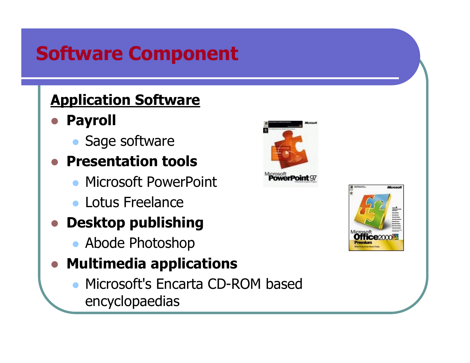#### Application Software

- $\bigcirc$  Payroll
	- $\bullet$ Sage software
- **Presentation tools** 
	- **Microsoft PowerPoint**
	- **Lotus Freelance**
- **Desktop publishing** 
	- Abode Photoshop
- Multimedia applications
	- $\bullet$  Microsoft's Encarta CD-ROM based encyclopaedias



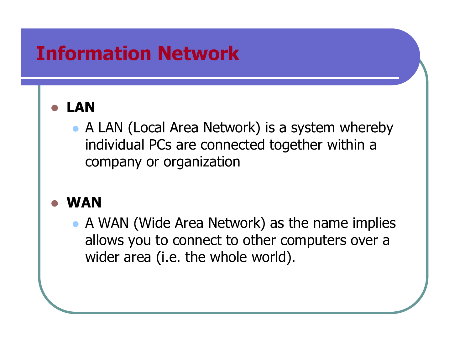# Information Network

#### $\bullet$ LAN

• A LAN (Local Area Network) is a system whereby individual PCs are connected together within a company or organization

#### $\bigcirc$ WAN

• A WAN (Wide Area Network) as the name implies allows you to connect to other computers over a wider area (i.e. the whole world).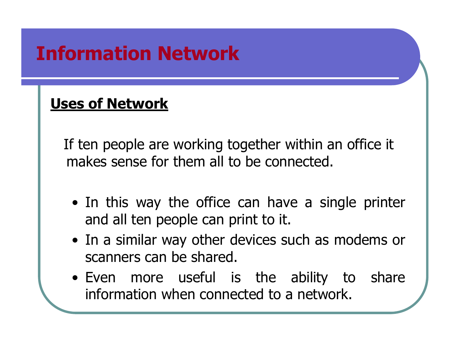# Information Network

#### Uses of Network

If ten people are working together within an office it makes sense for them all to be connected.

- In this way the office can have a single printer<br>and all ten neonle can print to it and all ten people can print to it.
- In a similar way other devices such as modems or<br>scanners can be shared scanners can be shared.
- Even more useful is the ability to share<br>information.when.connected.to.a.network information when connected to a network.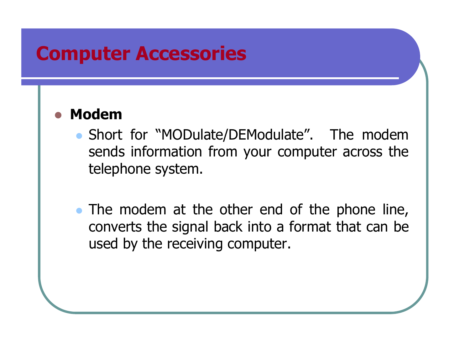#### Computer Accessories

#### $\bullet$ Modem

- Short for "MODulate/DEModulate". The modem sends information from your computer across the telephone system.
- The modem at the other end of the phone line, converts the signal back into a format that can be used by the receiving computer.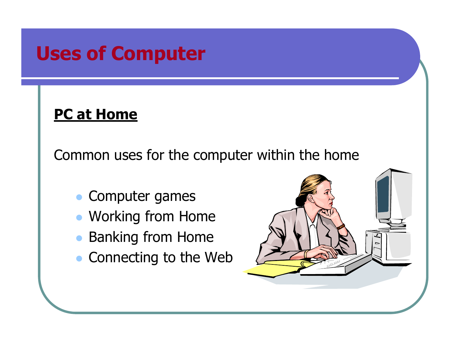#### **PC at Home**

Common uses for the computer within the home

- $\bullet$ Computer games
- Working from Home
- $\bullet$ Banking from Home
- $\bullet$ Connecting to the Web

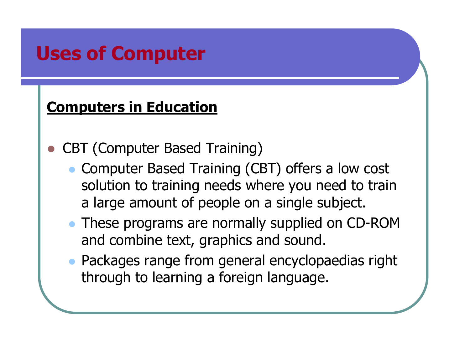#### Computers in Education

- $\bullet$  CBT (Computer Based Training)
	- $\bullet$  Computer Based Training (CBT) offers a low cost solution to training needs where you need to train a large amount of people on a single subject.
	- These programs are normally supplied on CD-ROM and combine text, graphics and sound.
	- Packages range from general encyclopaedias right through to learning a foreign language.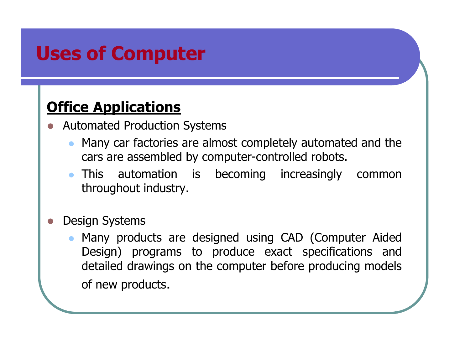#### Office Applications

- Automated Production Systems
	- $\bullet$  Many car factories are almost completely automated and the cars are assembled by computer-controlled robots.
	- This automation is becoming increasingly common throughout industry.
- $\bullet$  Design Systems
	- $\bullet$  Many products are designed using CAD (Computer Aided Design) programs to produce exact specifications and detailed drawings on the computer before producing models of new products.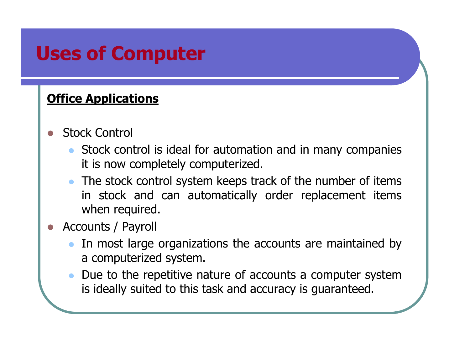#### Office Applications

- Stock Control
	- $\bullet$  Stock control is ideal for automation and in many companies it is now completely computerized.
	- The stock control system keeps track of the number of items in stock and can automatically order replacement items when required.
- Accounts / Payroll
	- $\bullet$  In most large organizations the accounts are maintained by a computerized system.
	- $\bullet$  Due to the repetitive nature of accounts a computer system is ideally suited to this task and accuracy is guaranteed.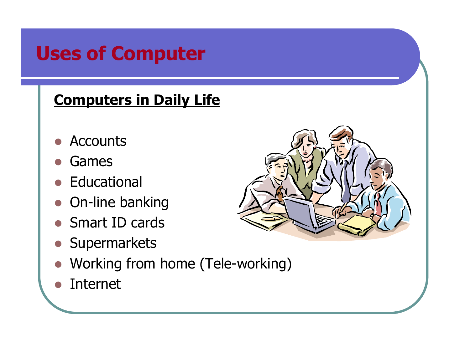#### Computers in Daily Life

- $\bullet$ **Accounts**
- $\bigcirc$ Games
- Educational
- **On-line banking**
- Smart ID cards
- **•** Supermarkets
- Working from home (Tele-working)
- $\bigcirc$ Internet

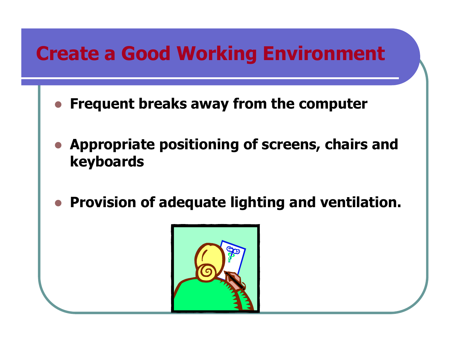# Create a Good Working Environment

- $\bullet$ Frequent breaks away from the computer
- **Appropriate positioning of screens, chairs and** keyboards
- $\blacksquare$ Provision of adequate lighting and ventilation.

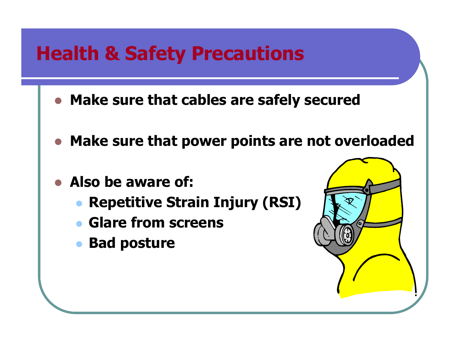### Health & Safety Precautions

- Make sure that cables are safely secured
- $\bullet$ Make sure that power points are not overloaded
- $\bullet$  Also be aware of:
	- $\bullet$ Repetitive Strain Injury (RSI)
	- $\bullet$ Glare from screens
	- $\bullet$ Bad posture

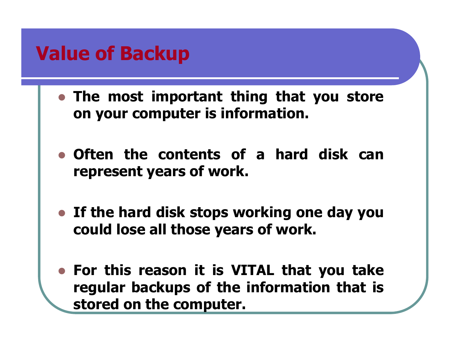### Value of Backup

- The most important thing that you store on your computer is information.
- Often the contents of a hard disk can represent years of work.
- If the hard disk stops working one day you could lose all those years of work.
- For this reason it is VITAL that you take regular backups of the information that is stored on the computer.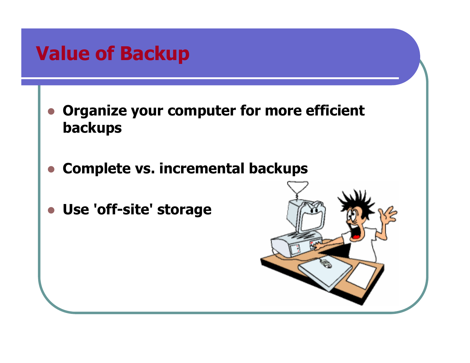# Value of Backup

- $\bullet$  Organize your computer for more efficient backups
- $\bullet$ Complete vs. incremental backups
- $\bullet$ Use 'off-site' storage

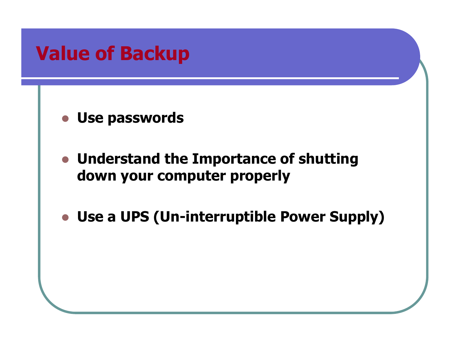# Value of Backup

Use passwords

- Understand the Importance of shutting down your computer properly
- Use a UPS (Un-interruptible Power Supply)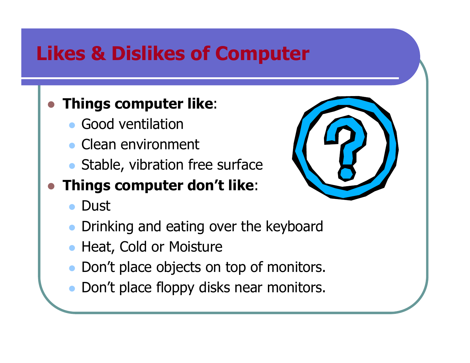# Likes & Dislikes of Computer

#### $\bullet$ Things computer like:

- $\bullet$ Good ventilation
- $\bullet$ Clean environment
- Stable, vibration free surface

#### $\bullet$ Things computer don't like:

- $\bullet$ **Dust**
- $\bullet$ Drinking and eating over the keyboard
- $\bullet$ Heat, Cold or Moisture
- Don't place objects on top of monitors.
- $\bullet$ Don't place floppy disks near monitors.

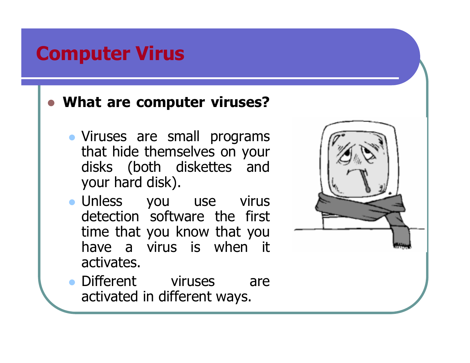## Computer Virus

# What are computer viruses?

- Viruses are small programs that hide themselves on your disks (both diskettes and your hard disk).
- Unless you use virus detection software the first time that you know that you have a virus is when it activates.



• Different viruses are activated in different ways.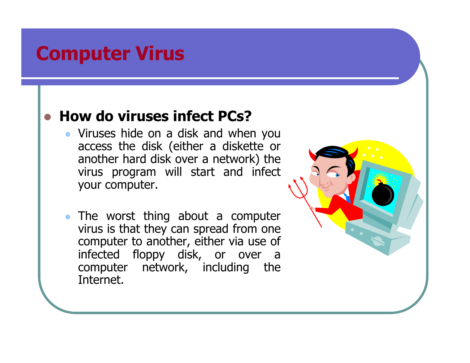### Computer Virus

# • How do viruses infect PCs?

- Viruses hide on a disk and when you access the disk (either a diskette or another hard disk over a network) the virus program will start and infect your computer.
- The worst thing about a computer virus is that they can spread from one computer to another, either via use of infected floppy disk, or over a computer network, including the Internet.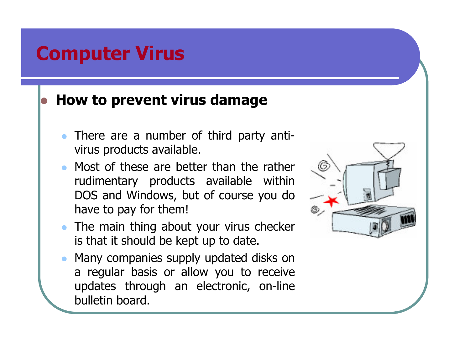### Computer Virus

# **• How to prevent virus damage**

- $\bullet$  There are a number of third party antivirus products available.
- $\bullet$  Most of these are better than the rather rudimentary products available within DOS and Windows, but of course you do have to pay for them!
- The main thing about your virus checker is that it should be kept up to date.
- $\bullet$  Many companies supply updated disks on a regular basis or allow you to receive updates through an electronic, on-line bulletin board.

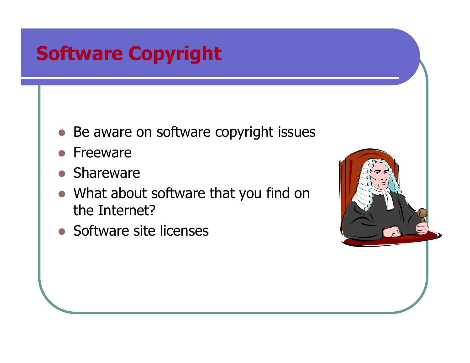# Software Copyright

- Be aware on software copyright issues
- $\bigcirc$ Freeware
- **•** Shareware
- What about software that you find on the Internet?
- Software site licenses

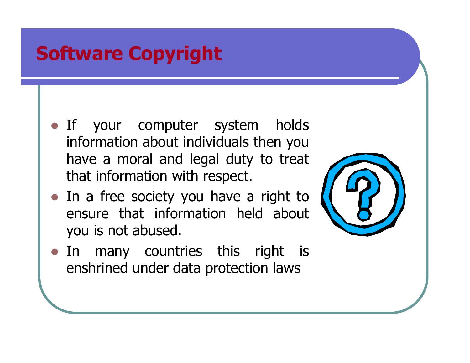# Software Copyright

- **If** your computer system holds information about individuals then you have a moral and legal duty to treat that information with respect.
- In a free society you have a right to ensure that information held about you is not abused.



• In many countries this right is enshrined under data protection laws